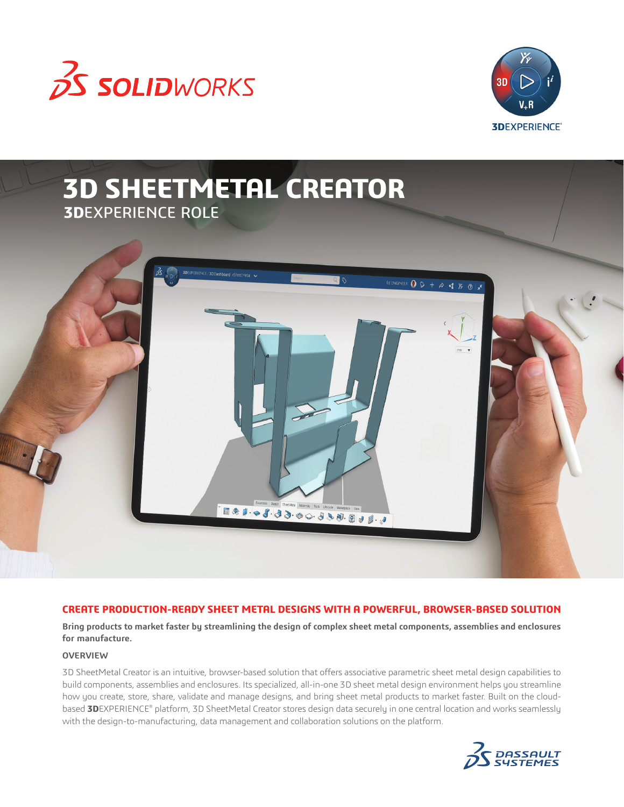



Ed ENGINEER 0 0 + A < A < A

# **3D SHEETMETAL CREATOR 3D**EXPERIENCE ROLE



E & 1 . Set level State Accords | Ret Literat Materiale New | 8 . 0

**Bring products to market faster by streamlining the design of complex sheet metal components, assemblies and enclosures for manufacture.** 

## **OVERVIEW**

3D SheetMetal Creator is an intuitive, browser-based solution that offers associative parametric sheet metal design capabilities to build components, assemblies and enclosures. Its specialized, all-in-one 3D sheet metal design environment helps you streamline how you create, store, share, validate and manage designs, and bring sheet metal products to market faster. Built on the cloudbased **3D**EXPERIENCE® platform, 3D SheetMetal Creator stores design data securely in one central location and works seamlessly with the design-to-manufacturing, data management and collaboration solutions on the platform.